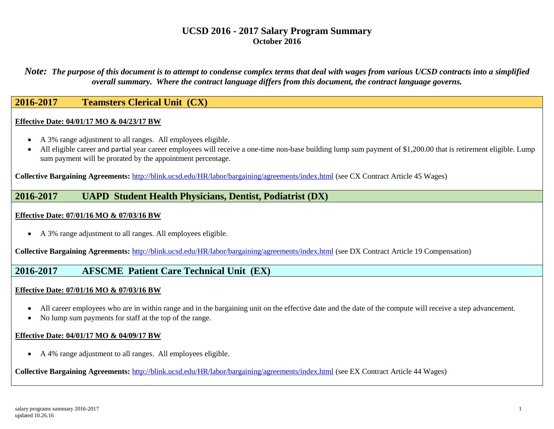*Note: The purpose of this document is to attempt to condense complex terms that deal with wages from various UCSD contracts into a simplified overall summary. Where the contract language differs from this document, the contract language governs.*

## **2016-2017 Teamsters Clerical Unit (CX)**

#### **Effective Date: 04/01/17 MO & 04/23/17 BW**

- A 3% range adjustment to all ranges. All employees eligible.
- All eligible career and partial year career employees will receive a one-time non-base building lump sum payment of \$1,200.00 that is retirement eligible. Lump sum payment will be prorated by the appointment percentage.

**Collective Bargaining Agreements:** <http://blink.ucsd.edu/HR/labor/bargaining/agreements/index.html> (see CX Contract Article 45 Wages)

### **2016-2017 UAPD Student Health Physicians, Dentist, Podiatrist (DX)**

#### **Effective Date: 07/01/16 MO & 07/03/16 BW**

A 3% range adjustment to all ranges. All employees eligible.

**Collective Bargaining Agreements:** <http://blink.ucsd.edu/HR/labor/bargaining/agreements/index.html> (see DX Contract Article 19 Compensation)

## **2016-2017 AFSCME Patient Care Technical Unit (EX)**

#### **Effective Date: 07/01/16 MO & 07/03/16 BW**

- All career employees who are in within range and in the bargaining unit on the effective date and the date of the compute will receive a step advancement.
- No lump sum payments for staff at the top of the range.

#### **Effective Date: 04/01/17 MO & 04/09/17 BW**

A 4% range adjustment to all ranges. All employees eligible.

**Collective Bargaining Agreements:** <http://blink.ucsd.edu/HR/labor/bargaining/agreements/index.html> (see EX Contract Article 44 Wages)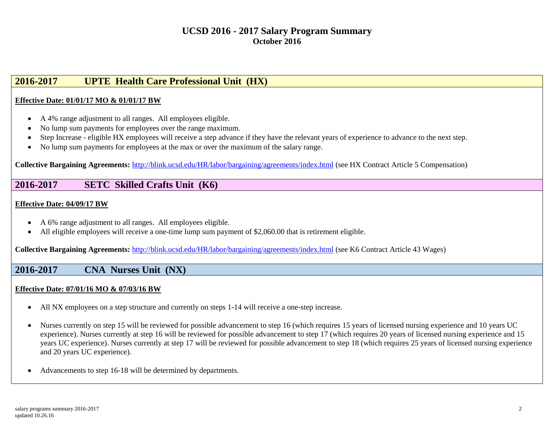# **2016-2017 UPTE Health Care Professional Unit (HX)**

### **Effective Date: 01/01/17 MO & 01/01/17 BW**

- A 4% range adjustment to all ranges. All employees eligible.
- No lump sum payments for employees over the range maximum.
- Step Increase eligible HX employees will receive a step advance if they have the relevant years of experience to advance to the next step.
- No lump sum payments for employees at the max or over the maximum of the salary range.

**Collective Bargaining Agreements:** <http://blink.ucsd.edu/HR/labor/bargaining/agreements/index.html> (see HX Contract Article 5 Compensation)

## **2016-2017 SETC Skilled Crafts Unit (K6)**

#### **Effective Date: 04/09/17 BW**

- A 6% range adjustment to all ranges. All employees eligible.
- All eligible employees will receive a one-time lump sum payment of \$2,060.00 that is retirement eligible.

**Collective Bargaining Agreements:** <http://blink.ucsd.edu/HR/labor/bargaining/agreements/index.html> (see K6 Contract Article 43 Wages)

### **2016-2017 CNA Nurses Unit (NX)**

#### **Effective Date: 07/01/16 MO & 07/03/16 BW**

- All NX employees on a step structure and currently on steps 1-14 will receive a one-step increase.
- Nurses currently on step 15 will be reviewed for possible advancement to step 16 (which requires 15 years of licensed nursing experience and 10 years UC experience). Nurses currently at step 16 will be reviewed for possible advancement to step 17 (which requires 20 years of licensed nursing experience and 15 years UC experience). Nurses currently at step 17 will be reviewed for possible advancement to step 18 (which requires 25 years of licensed nursing experience and 20 years UC experience).
- Advancements to step 16-18 will be determined by departments.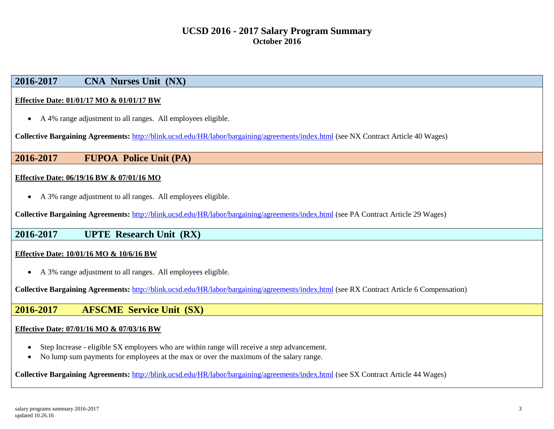# **2016-2017 CNA Nurses Unit (NX)**

#### **Effective Date: 01/01/17 MO & 01/01/17 BW**

A 4% range adjustment to all ranges. All employees eligible.

**Collective Bargaining Agreements:** <http://blink.ucsd.edu/HR/labor/bargaining/agreements/index.html> (see NX Contract Article 40 Wages)

### **2016-2017 FUPOA Police Unit (PA)**

#### **Effective Date: 06/19/16 BW & 07/01/16 MO**

A 3% range adjustment to all ranges. All employees eligible.

**Collective Bargaining Agreements:** <http://blink.ucsd.edu/HR/labor/bargaining/agreements/index.html> (see PA Contract Article 29 Wages)

### **2016-2017 UPTE Research Unit (RX)**

#### **Effective Date: 10/01/16 MO & 10/6/16 BW**

A 3% range adjustment to all ranges. All employees eligible.

**Collective Bargaining Agreements:** <http://blink.ucsd.edu/HR/labor/bargaining/agreements/index.html> (see RX Contract Article 6 Compensation)

### **2016-2017 AFSCME Service Unit (SX)**

#### **Effective Date: 07/01/16 MO & 07/03/16 BW**

- Step Increase eligible SX employees who are within range will receive a step advancement.
- No lump sum payments for employees at the max or over the maximum of the salary range.

**Collective Bargaining Agreements:** <http://blink.ucsd.edu/HR/labor/bargaining/agreements/index.html> (see SX Contract Article 44 Wages)